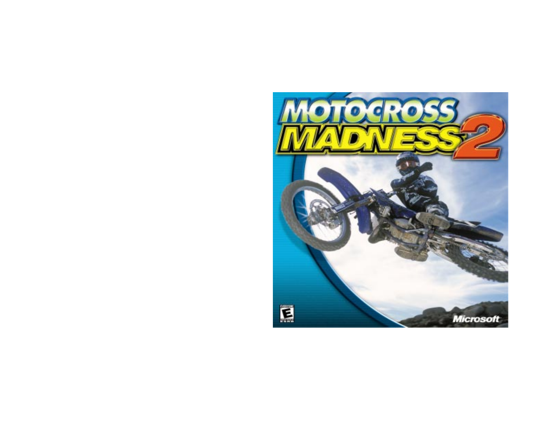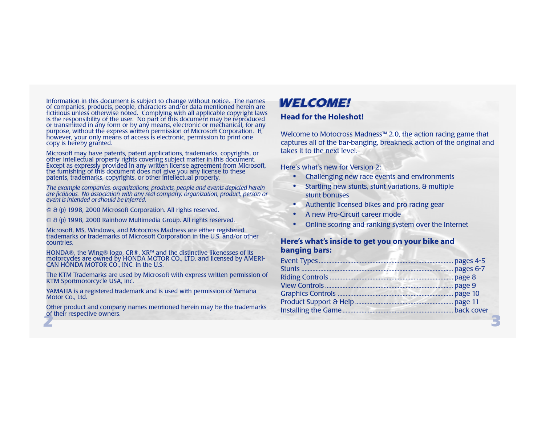Information in this document is subject to change without notice. The names<br>of companies, products, people, characters and/or data mentioned herein are<br>fictitious unless otherwise noted. Complying with all applicable copyr

Microsoft may have patents, patent applications, trademarks, copyrights, or<br>other intellectual property rights covering subject matter in this document.<br>Except as expressly provided in any written license agreement from Mi

The example companies, organizations, products, people and events depicted herein<br>are fictitious. No association with any real company, organization, product, person or<br>event is intended or should be inferred.

- © & (p) 1998, 2000 Microsoft Corporation. All rights reserved.
- © & (p) 1998, 2000 Rainbow Multimedia Group. All rights reserved.

Microsoft, MS, Windows, and Motocross Madness are either registered trademarks or trademarks of Microsoft Corporation in the U.S. and/or other countries.

HONDA®, the Wing® logo, CR®, XR™ and the distinctive likenesses of its<br>motorcycles are owned by HONDA MOTOR CO., LTD. and licensed by AMERI-<br>CAN HONDA MOTOR CO., INC. in the U.S.

The KTM Trademarks are used by Microsoft with express written permission of KTM Sportmotorcycle USA, Inc.

YAMAHA is a registered trademark and is used with permission of Yamaha<br>Motor Co., Ltd.

<sup>2</sup> and respective offices: Other product and company names mentioned herein may be the trademarks of their respective owners.

## **Head for the Holeshot!**

Welcome to Motocross Madness™ 2.0, the action racing game that captures all of the bar-banging, breakneck action of the original and takes it to the next level.

Here's what's new for Version 2:

- **•**Challenging new race events and environments
- **•** Startling new stunts, stunt variations, & multiple stunt bonuses
- **•**Authentic licensed bikes and pro racing gear
- **•**A new Pro-Circuit career mode
- **•**Online scoring and ranking system over the Internet

## **Here's what's inside to get you on your bike and banging bars:**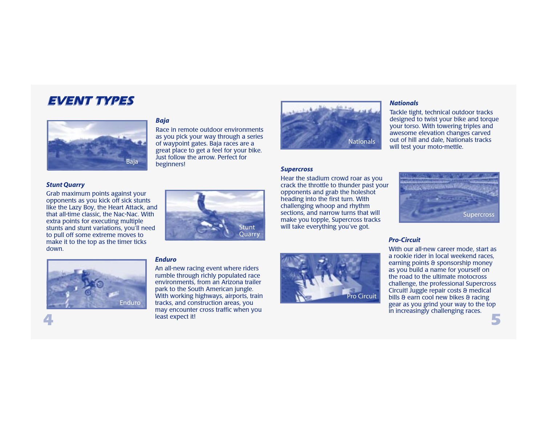# EVENT TYPES



*Baja*

Race in remote outdoor environments as you pick your way through a series of waypoint gates. Baja races are a great place to get a feel for your bike. Just follow the arrow. Perfect for beginners!



Grab maximum points against your opponents as you kick off sick stunts like the Lazy Boy, the Heart Attack, and that all-time classic, the Nac-Nac. With extra points for executing multiple stunts and stunt variations, you'll need to pull off some extreme moves to make it to the top as the timer ticks down.





### *Supercross*

Hear the stadium crowd roar as you crack the throttle to thunder past your opponents and grab the holeshot heading into the first turn. With challenging whoop and rhythm sections, and narrow turns that will make you topple, Supercross tracks will take everything you've got.



Tackle tight, technical outdoor tracks designed to twist your bike and torque your torso. With towering triples and awesome elevation changes carved out of hill and dale, Nationals tracks

will test your moto-mettle.



### *Pro-Circuit*

*Nationals*

With our all-new career mode, start as a rookie rider in local weekend races, earning points & sponsorship money as you build a name for yourself on the road to the ultimate motocross challenge, the professional Supercross Circuit! Juggle repair costs & medical bills & earn cool new bikes & racing gear as you grind your way to the top in increasingly challenging races.



### *Enduro*

d<sub>1</sub> and the second second it! An all-new racing event where riders rumble through richly populated race environments, from an Arizona trailer park to the South American jungle. With working highways, airports, train tracks, and construction areas, you may encounter cross traffic when you least expect it!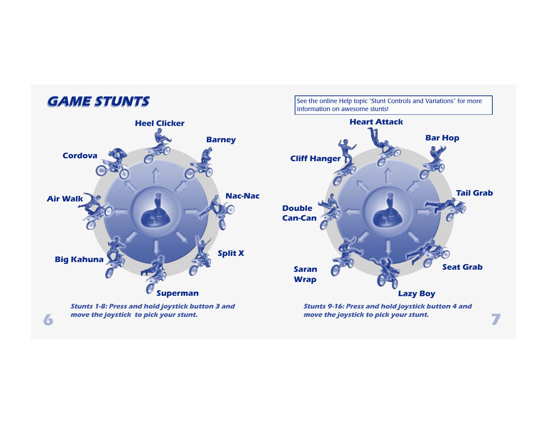# **GAME STUNTS**

See the online Help topic "Stunt Controls and Variations" for more information on awesome stunts!

move the joystick to pick your stunt.



**6** The move the joystick to pick your stunt. move the joystick to pick your stunt.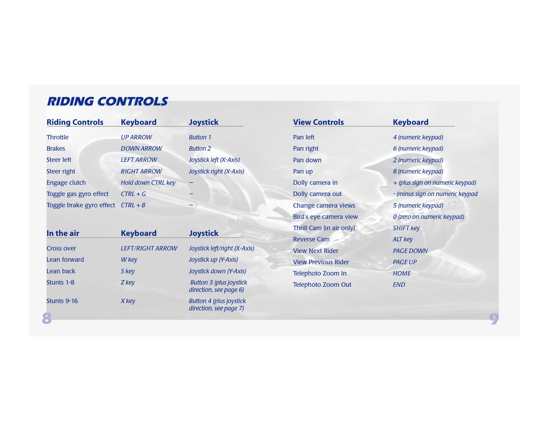# **RIDING CONTROLS**

| <b>Riding Controls</b>              | <b>Keyboard</b>    | <b>Joystick</b>         |
|-------------------------------------|--------------------|-------------------------|
| <b>Throttle</b>                     | <b>UP ARROW</b>    | <b>Button 1</b>         |
| <b>Brakes</b>                       | <b>DOWN ARROW</b>  | <b>Button 2</b>         |
| <b>Steer left</b>                   | <b>LEFT ARROW</b>  | Joystick left (X-Axis)  |
| Steer right                         | <b>RIGHT ARROW</b> | Joystick right (X-Axis) |
| Engage clutch                       | Hold down CTRL key |                         |
| Toggle gas gyro effect              | $CTRL + G$         |                         |
| Toggle brake gyro effect $CTRL + B$ |                    |                         |

| In the air        | <b>Keyboard</b>         | <b>Joystick</b>                                          |
|-------------------|-------------------------|----------------------------------------------------------|
| <b>Cross over</b> | <b>LEFT/RIGHT ARROW</b> | Joystick left/right (X-Axis)                             |
| Lean forward      | W key                   | Joystick up (Y-Axis)                                     |
| Lean back         | S key                   | Joystick down (Y-Axis)                                   |
| Stunts 1-8        | Z key                   | <b>Button 3 (plus joystick</b><br>direction, see page 6) |
| Stunts 9-16       | X key                   | <b>Button 4 (plus joystick</b><br>direction, see page 7) |

| <b>View Controls</b>       | <b>Keyboard</b>                 |
|----------------------------|---------------------------------|
| Pan left                   | 4 (numeric keypad)              |
| Pan right                  | 6 (numeric keypad)              |
| Pan down                   | 2 (numeric keypad)              |
| Pan up                     | 8 (numeric keypad)              |
| Dolly camera in            | + (plus sign on numeric keypad) |
| Dolly camera out           | - (minus sign on numeric keypad |
| Change camera views        | 5 (numeric keypad)              |
| Bird's eye camera view     | 0 (zero on numeric keypad)      |
| Thrill Cam (in air only)   | <b>SHIFT key</b>                |
| <b>Reverse Cam</b>         | <b>ALT</b> key                  |
| <b>View Next Rider</b>     | <b>PAGE DOWN</b>                |
| <b>View Previous Rider</b> | <b>PAGE UP</b>                  |
| Telephoto Zoom In          | <b>HOME</b>                     |
| Telephoto Zoom Out         | <b>END</b>                      |
|                            |                                 |

8 9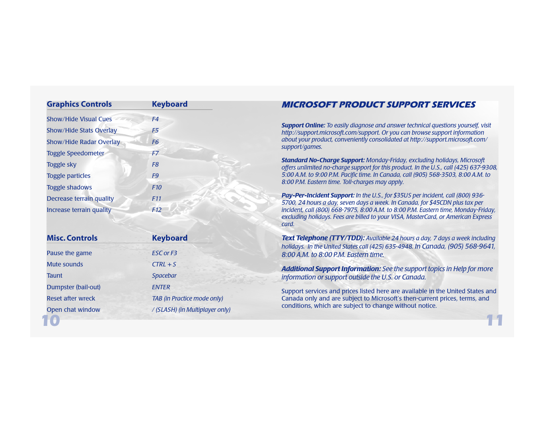| <b>Graphics Controls</b>       | <b>Keyboard</b>                 | <b>MICROSOFT PRODUCT SUPPORT SERVICES</b>                                                                                                                                                                                                                                                                                                                                                                                                                                                                                                     |  |
|--------------------------------|---------------------------------|-----------------------------------------------------------------------------------------------------------------------------------------------------------------------------------------------------------------------------------------------------------------------------------------------------------------------------------------------------------------------------------------------------------------------------------------------------------------------------------------------------------------------------------------------|--|
| <b>Show/Hide Visual Cues</b>   | F4                              |                                                                                                                                                                                                                                                                                                                                                                                                                                                                                                                                               |  |
| Show/Hide Stats Overlay        | F <sub>5</sub>                  | <b>Support Online:</b> To easily diagnose and answer technical questions yourself, visit<br>http://support.microsoft.com/support. Or you can browse support information<br>about your product, conveniently consolidated at http://support.microsoft.com/<br>support/games.<br><b>Standard No-Charge Support: Monday-Friday, excluding holidays, Microsoft</b><br>offers unlimited no-charge support for this product. In the U.S., call (425) 637-9308,<br>5:00 A.M. to 9:00 P.M. Pacific time. In Canada, call (905) 568-3503, 8:00 A.M. to |  |
| <b>Show/Hide Radar Overlay</b> | F <sub>6</sub>                  |                                                                                                                                                                                                                                                                                                                                                                                                                                                                                                                                               |  |
| <b>Toggle Speedometer</b>      | F7                              |                                                                                                                                                                                                                                                                                                                                                                                                                                                                                                                                               |  |
| <b>Toggle sky</b>              | F <sub>8</sub>                  |                                                                                                                                                                                                                                                                                                                                                                                                                                                                                                                                               |  |
| <b>Toggle particles</b>        | F <sub>9</sub>                  |                                                                                                                                                                                                                                                                                                                                                                                                                                                                                                                                               |  |
| <b>Toggle shadows</b>          | F <sub>10</sub>                 | 8:00 P.M. Eastern time. Toll-charges may apply.                                                                                                                                                                                                                                                                                                                                                                                                                                                                                               |  |
| Decrease terrain quality       | F <sub>11</sub>                 | Pay-Per-Incident Support: In the U.S., for \$35US per incident, call (800) 936-<br>5700, 24 hours a day, seven days a week. In Canada, for \$45CDN plus tax per<br>incident, call (800) 668-7975, 8:00 A.M. to 8:00 P.M. Eastern time, Monday-Friday,<br>excluding holidays. Fees are billed to your VISA, MasterCard, or American Express<br>card.                                                                                                                                                                                           |  |
| Increase terrain quality       | F12                             |                                                                                                                                                                                                                                                                                                                                                                                                                                                                                                                                               |  |
| <b>Misc. Controls</b>          | <b>Keyboard</b>                 | Text Telephone (TTY/TDD): Available 24 hours a day, 7 days a week including                                                                                                                                                                                                                                                                                                                                                                                                                                                                   |  |
| Pause the game                 | <b>ESC or F3</b>                | holidays. In the United States call (425) 635-4948. In Canada, (905) 568-9641,<br>8:00 A.M. to 8:00 P.M. Eastern time.                                                                                                                                                                                                                                                                                                                                                                                                                        |  |
| Mute sounds                    | $CTRL + S$                      | <b>Additional Support Information:</b> See the support topics in Help for more<br>information or support outside the U.S. or Canada.                                                                                                                                                                                                                                                                                                                                                                                                          |  |
| <b>Taunt</b>                   | Spacebar                        |                                                                                                                                                                                                                                                                                                                                                                                                                                                                                                                                               |  |
| Dumpster (bail-out)            | <b>ENTER</b>                    | Support services and prices listed here are available in the United States and                                                                                                                                                                                                                                                                                                                                                                                                                                                                |  |
| <b>Reset after wreck</b>       | TAB (in Practice mode only)     | Canada only and are subject to Microsoft's then-current prices, terms, and                                                                                                                                                                                                                                                                                                                                                                                                                                                                    |  |
| Open chat window               | / (SLASH) (in Multiplayer only) | conditions, which are subject to change without notice.                                                                                                                                                                                                                                                                                                                                                                                                                                                                                       |  |
|                                |                                 |                                                                                                                                                                                                                                                                                                                                                                                                                                                                                                                                               |  |

## MICROSOFT PRODUCT SUPPORT SERVICES